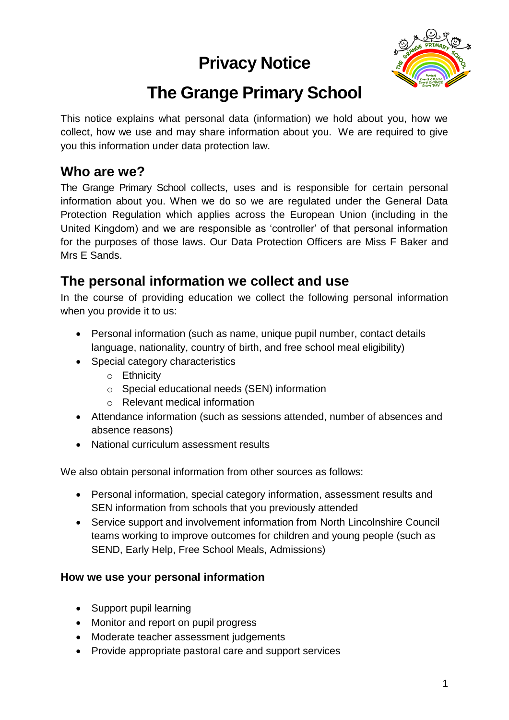## **Privacy Notice**



# **The Grange Primary School**

This notice explains what personal data (information) we hold about you, how we collect, how we use and may share information about you. We are required to give you this information under data protection law.

### **Who are we?**

The Grange Primary School collects, uses and is responsible for certain personal information about you. When we do so we are regulated under the General Data Protection Regulation which applies across the European Union (including in the United Kingdom) and we are responsible as 'controller' of that personal information for the purposes of those laws. Our Data Protection Officers are Miss F Baker and Mrs E Sands.

### **The personal information we collect and use**

In the course of providing education we collect the following personal information when you provide it to us:

- Personal information (such as name, unique pupil number, contact details language, nationality, country of birth, and free school meal eligibility)
- Special category characteristics
	- o Ethnicity
	- o Special educational needs (SEN) information
	- o Relevant medical information
- Attendance information (such as sessions attended, number of absences and absence reasons)
- National curriculum assessment results

We also obtain personal information from other sources as follows:

- Personal information, special category information, assessment results and SEN information from schools that you previously attended
- Service support and involvement information from North Lincolnshire Council teams working to improve outcomes for children and young people (such as SEND, Early Help, Free School Meals, Admissions)

#### **How we use your personal information**

- Support pupil learning
- Monitor and report on pupil progress
- Moderate teacher assessment judgements
- Provide appropriate pastoral care and support services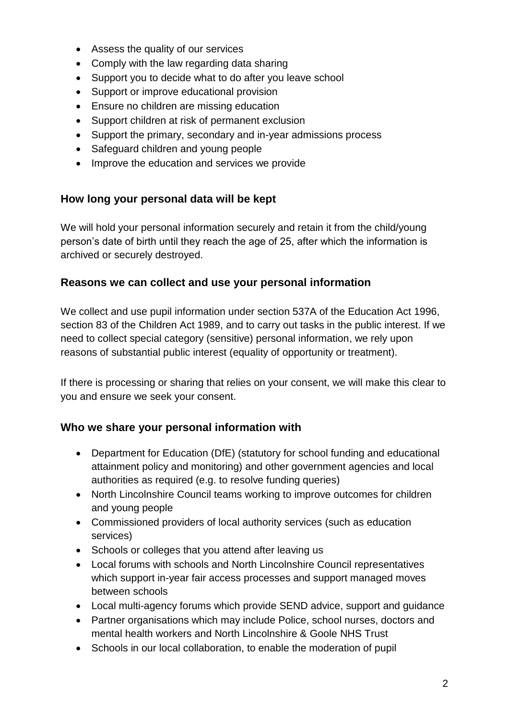- Assess the quality of our services
- Comply with the law regarding data sharing
- Support you to decide what to do after you leave school
- Support or improve educational provision
- Ensure no children are missing education
- Support children at risk of permanent exclusion
- Support the primary, secondary and in-year admissions process
- Safeguard children and young people
- Improve the education and services we provide

#### **How long your personal data will be kept**

We will hold your personal information securely and retain it from the child/young person's date of birth until they reach the age of 25, after which the information is archived or securely destroyed.

#### **Reasons we can collect and use your personal information**

We collect and use pupil information under section 537A of the Education Act 1996, section 83 of the Children Act 1989, and to carry out tasks in the public interest. If we need to collect special category (sensitive) personal information, we rely upon reasons of substantial public interest (equality of opportunity or treatment).

If there is processing or sharing that relies on your consent, we will make this clear to you and ensure we seek your consent.

#### **Who we share your personal information with**

- Department for Education (DfE) (statutory for school funding and educational attainment policy and monitoring) and other government agencies and local authorities as required (e.g. to resolve funding queries)
- North Lincolnshire Council teams working to improve outcomes for children and young people
- Commissioned providers of local authority services (such as education services)
- Schools or colleges that you attend after leaving us
- Local forums with schools and North Lincolnshire Council representatives which support in-year fair access processes and support managed moves between schools
- Local multi-agency forums which provide SEND advice, support and guidance
- Partner organisations which may include Police, school nurses, doctors and mental health workers and North Lincolnshire & Goole NHS Trust
- Schools in our local collaboration, to enable the moderation of pupil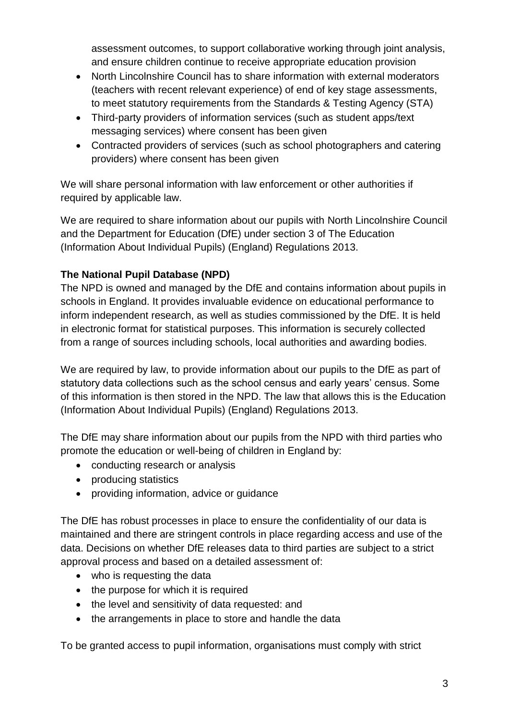assessment outcomes, to support collaborative working through joint analysis, and ensure children continue to receive appropriate education provision

- North Lincolnshire Council has to share information with external moderators (teachers with recent relevant experience) of end of key stage assessments, to meet statutory requirements from the Standards & Testing Agency (STA)
- Third-party providers of information services (such as student apps/text messaging services) where consent has been given
- Contracted providers of services (such as school photographers and catering providers) where consent has been given

We will share personal information with law enforcement or other authorities if required by applicable law.

We are required to share information about our pupils with North Lincolnshire Council and the Department for Education (DfE) under section 3 of The Education (Information About Individual Pupils) (England) Regulations 2013.

#### **The National Pupil Database (NPD)**

The NPD is owned and managed by the DfE and contains information about pupils in schools in England. It provides invaluable evidence on educational performance to inform independent research, as well as studies commissioned by the DfE. It is held in electronic format for statistical purposes. This information is securely collected from a range of sources including schools, local authorities and awarding bodies.

We are required by law, to provide information about our pupils to the DfE as part of statutory data collections such as the school census and early years' census. Some of this information is then stored in the NPD. The law that allows this is the Education (Information About Individual Pupils) (England) Regulations 2013.

The DfE may share information about our pupils from the NPD with third parties who promote the education or well-being of children in England by:

- conducting research or analysis
- producing statistics
- providing information, advice or guidance

The DfE has robust processes in place to ensure the confidentiality of our data is maintained and there are stringent controls in place regarding access and use of the data. Decisions on whether DfE releases data to third parties are subject to a strict approval process and based on a detailed assessment of:

- who is requesting the data
- the purpose for which it is required
- the level and sensitivity of data requested: and
- the arrangements in place to store and handle the data

To be granted access to pupil information, organisations must comply with strict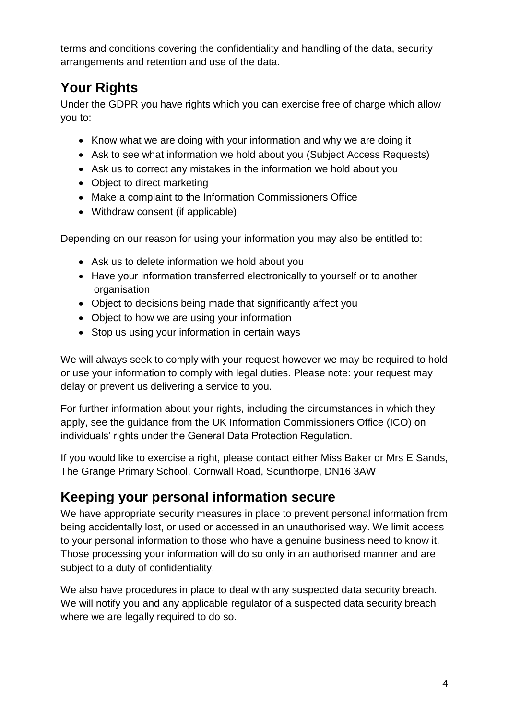terms and conditions covering the confidentiality and handling of the data, security arrangements and retention and use of the data.

## **Your Rights**

Under the GDPR you have rights which you can exercise free of charge which allow you to:

- Know what we are doing with your information and why we are doing it
- Ask to see what information we hold about you (Subject Access Requests)
- Ask us to correct any mistakes in the information we hold about you
- Object to direct marketing
- Make a complaint to the Information Commissioners Office
- Withdraw consent (if applicable)

Depending on our reason for using your information you may also be entitled to:

- Ask us to delete information we hold about you
- Have your information transferred electronically to yourself or to another organisation
- Object to decisions being made that significantly affect you
- Object to how we are using your information
- Stop us using your information in certain ways

We will always seek to comply with your request however we may be required to hold or use your information to comply with legal duties. Please note: your request may delay or prevent us delivering a service to you.

For further information about your rights, including the circumstances in which they apply, see the guidance from the UK Information Commissioners Office (ICO) on individuals' rights under the General Data Protection Regulation.

If you would like to exercise a right, please contact either Miss Baker or Mrs E Sands, The Grange Primary School, Cornwall Road, Scunthorpe, DN16 3AW

## **Keeping your personal information secure**

We have appropriate security measures in place to prevent personal information from being accidentally lost, or used or accessed in an unauthorised way. We limit access to your personal information to those who have a genuine business need to know it. Those processing your information will do so only in an authorised manner and are subject to a duty of confidentiality.

We also have procedures in place to deal with any suspected data security breach. We will notify you and any applicable regulator of a suspected data security breach where we are legally required to do so.